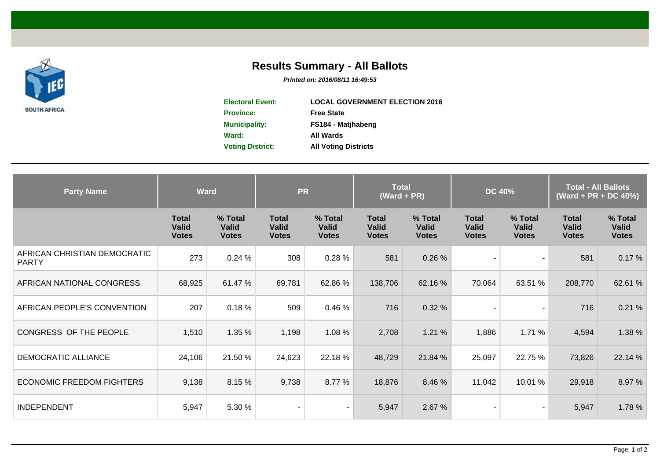

## **Results Summary - All Ballots**

**Printed on: 2016/08/11 16:49:53**

| <b>Electoral Event:</b> | <b>LOCAL GOVERNMENT ELECTION 2016</b> |
|-------------------------|---------------------------------------|
| <b>Province:</b>        | <b>Free State</b>                     |
| <b>Municipality:</b>    | FS184 - Matihabeng                    |
| Ward:                   | All Wards                             |
| <b>Voting District:</b> | <b>All Voting Districts</b>           |
|                         |                                       |

| <b>Party Name</b>                            | <b>Ward</b>                                  |                                         | <b>PR</b>                                    |                                         | <b>Total</b><br>$(Ward + PR)$                |                                         | <b>DC 40%</b>                                |                                         | <b>Total - All Ballots</b><br>(Ward + PR + DC 40%) |                                         |
|----------------------------------------------|----------------------------------------------|-----------------------------------------|----------------------------------------------|-----------------------------------------|----------------------------------------------|-----------------------------------------|----------------------------------------------|-----------------------------------------|----------------------------------------------------|-----------------------------------------|
|                                              | <b>Total</b><br><b>Valid</b><br><b>Votes</b> | % Total<br><b>Valid</b><br><b>Votes</b> | <b>Total</b><br><b>Valid</b><br><b>Votes</b> | % Total<br><b>Valid</b><br><b>Votes</b> | <b>Total</b><br><b>Valid</b><br><b>Votes</b> | % Total<br><b>Valid</b><br><b>Votes</b> | <b>Total</b><br><b>Valid</b><br><b>Votes</b> | % Total<br><b>Valid</b><br><b>Votes</b> | <b>Total</b><br><b>Valid</b><br><b>Votes</b>       | % Total<br><b>Valid</b><br><b>Votes</b> |
| AFRICAN CHRISTIAN DEMOCRATIC<br><b>PARTY</b> | 273                                          | 0.24%                                   | 308                                          | 0.28%                                   | 581                                          | 0.26 %                                  |                                              | $\overline{\phantom{a}}$                | 581                                                | 0.17%                                   |
| AFRICAN NATIONAL CONGRESS                    | 68,925                                       | 61.47 %                                 | 69,781                                       | 62.86 %                                 | 138,706                                      | 62.16 %                                 | 70,064                                       | 63.51 %                                 | 208,770                                            | 62.61 %                                 |
| AFRICAN PEOPLE'S CONVENTION                  | 207                                          | 0.18%                                   | 509                                          | 0.46 %                                  | 716                                          | 0.32%                                   |                                              | $\overline{\phantom{a}}$                | 716                                                | 0.21%                                   |
| CONGRESS OF THE PEOPLE                       | 1,510                                        | 1.35 %                                  | 1,198                                        | 1.08 %                                  | 2,708                                        | 1.21%                                   | 1,886                                        | 1.71%                                   | 4,594                                              | 1.38 %                                  |
| DEMOCRATIC ALLIANCE                          | 24,106                                       | 21.50 %                                 | 24,623                                       | 22.18 %                                 | 48,729                                       | 21.84 %                                 | 25,097                                       | 22.75 %                                 | 73,826                                             | 22.14 %                                 |
| <b>ECONOMIC FREEDOM FIGHTERS</b>             | 9,138                                        | 8.15%                                   | 9,738                                        | 8.77 %                                  | 18,876                                       | 8.46 %                                  | 11,042                                       | 10.01 %                                 | 29,918                                             | 8.97 %                                  |
| <b>INDEPENDENT</b>                           | 5,947                                        | 5.30 %                                  |                                              |                                         | 5,947                                        | 2.67 %                                  |                                              | $\overline{\phantom{a}}$                | 5,947                                              | 1.78 %                                  |